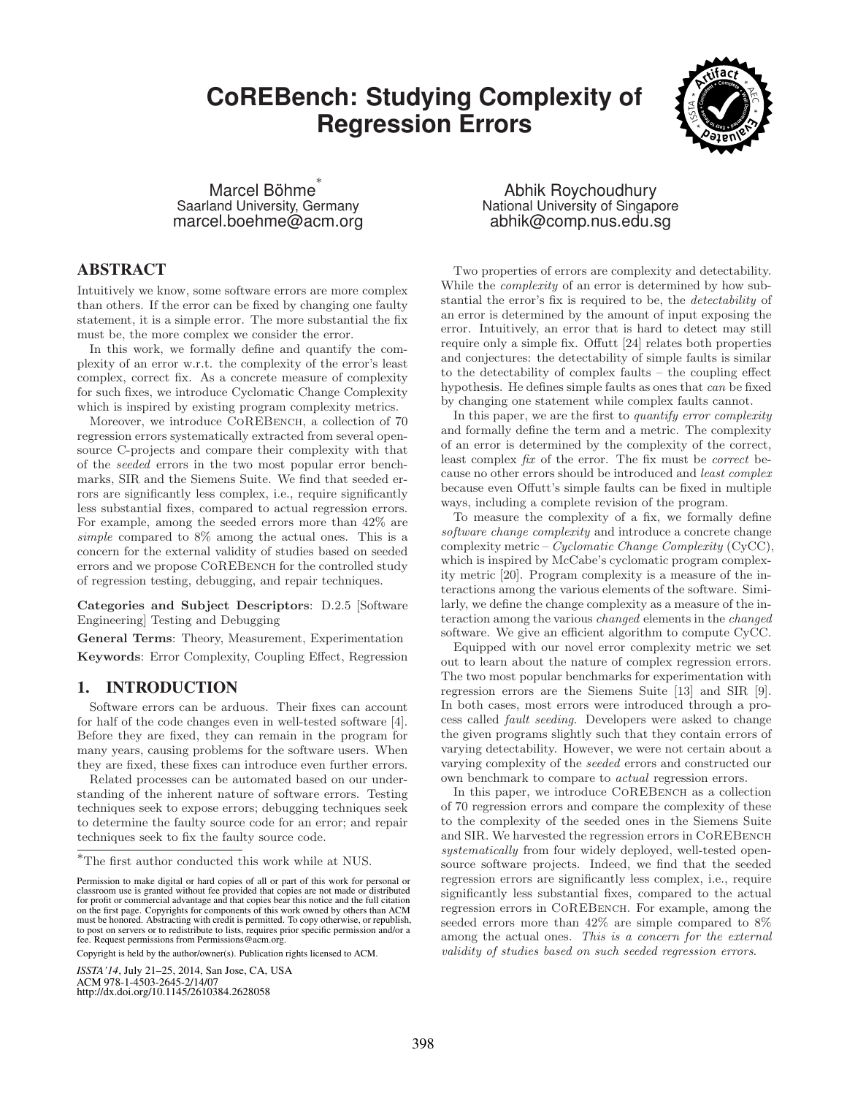# **CoREBench: Studying Complexity of Regression Errors**



Marcel Böhme ∗ Saarland University, Germany marcel.boehme@acm.org

# ABSTRACT

Intuitively we know, some software errors are more complex than others. If the error can be fixed by changing one faulty statement, it is a simple error. The more substantial the fix must be, the more complex we consider the error.

In this work, we formally define and quantify the complexity of an error w.r.t. the complexity of the error's least complex, correct fix. As a concrete measure of complexity for such fixes, we introduce Cyclomatic Change Complexity which is inspired by existing program complexity metrics.

Moreover, we introduce COREBENCH, a collection of 70 regression errors systematically extracted from several opensource C-projects and compare their complexity with that of the seeded errors in the two most popular error benchmarks, SIR and the Siemens Suite. We find that seeded errors are significantly less complex, i.e., require significantly less substantial fixes, compared to actual regression errors. For example, among the seeded errors more than 42% are simple compared to 8% among the actual ones. This is a concern for the external validity of studies based on seeded errors and we propose CoREBench for the controlled study of regression testing, debugging, and repair techniques.

Categories and Subject Descriptors: D.2.5 [Software Engineering] Testing and Debugging

General Terms: Theory, Measurement, Experimentation Keywords: Error Complexity, Coupling Effect, Regression

# 1. INTRODUCTION

Software errors can be arduous. Their fixes can account for half of the code changes even in well-tested software [4]. Before they are fixed, they can remain in the program for many years, causing problems for the software users. When they are fixed, these fixes can introduce even further errors.

Related processes can be automated based on our understanding of the inherent nature of software errors. Testing techniques seek to expose errors; debugging techniques seek to determine the faulty source code for an error; and repair techniques seek to fix the faulty source code.

Copyright is held by the author/owner(s). Publication rights licensed to ACM.

*ISSTA'14*, July 21-25, 2014, San Jose, CA, USA **ACM 978-1-4503-2645-2/14/07** ACM 978-1-4503-2645-2/14/07<br>http://dx.doi.org/10.1145/2610384.2628058

Abhik Roychoudhury National University of Singapore abhik@comp.nus.edu.sg

Two properties of errors are complexity and detectability. While the *complexity* of an error is determined by how substantial the error's fix is required to be, the detectability of an error is determined by the amount of input exposing the error. Intuitively, an error that is hard to detect may still require only a simple fix. Offutt [24] relates both properties and conjectures: the detectability of simple faults is similar to the detectability of complex faults – the coupling effect hypothesis. He defines simple faults as ones that can be fixed by changing one statement while complex faults cannot.

In this paper, we are the first to *quantify error complexity* and formally define the term and a metric. The complexity of an error is determined by the complexity of the correct, least complex fix of the error. The fix must be correct because no other errors should be introduced and least complex because even Offutt's simple faults can be fixed in multiple ways, including a complete revision of the program.

To measure the complexity of a fix, we formally define software change complexity and introduce a concrete change complexity metric – Cyclomatic Change Complexity (CyCC), which is inspired by McCabe's cyclomatic program complexity metric [20]. Program complexity is a measure of the interactions among the various elements of the software. Similarly, we define the change complexity as a measure of the interaction among the various changed elements in the changed software. We give an efficient algorithm to compute CyCC.

Equipped with our novel error complexity metric we set out to learn about the nature of complex regression errors. The two most popular benchmarks for experimentation with regression errors are the Siemens Suite [13] and SIR [9]. In both cases, most errors were introduced through a process called fault seeding. Developers were asked to change the given programs slightly such that they contain errors of varying detectability. However, we were not certain about a varying complexity of the seeded errors and constructed our own benchmark to compare to actual regression errors.

In this paper, we introduce COREBENCH as a collection of 70 regression errors and compare the complexity of these to the complexity of the seeded ones in the Siemens Suite and SIR. We harvested the regression errors in CoREBench systematically from four widely deployed, well-tested opensource software projects. Indeed, we find that the seeded regression errors are significantly less complex, i.e., require significantly less substantial fixes, compared to the actual regression errors in CoREBench. For example, among the seeded errors more than 42% are simple compared to 8% among the actual ones. This is a concern for the external validity of studies based on such seeded regression errors.

<sup>∗</sup>The first author conducted this work while at NUS.

for profit or commercial advantage and that copies bear this notice and the full citation<br>on the first page. Copyrights for components of this work owned by others than ACM or are mst page. Copyrights for components or ans work conted by otherwise that *richt* must be honored. Abstracting with credit is permitted. To copy otherwise, or republish, to post on servers or to redistribute to lists, requires prior specific permission and/or a fee. Request permissions from Permissions@acm.org. Permission to make digital or hard copies of all or part of this work for personal or classroom use is granted without fee provided that copies are not made or distributed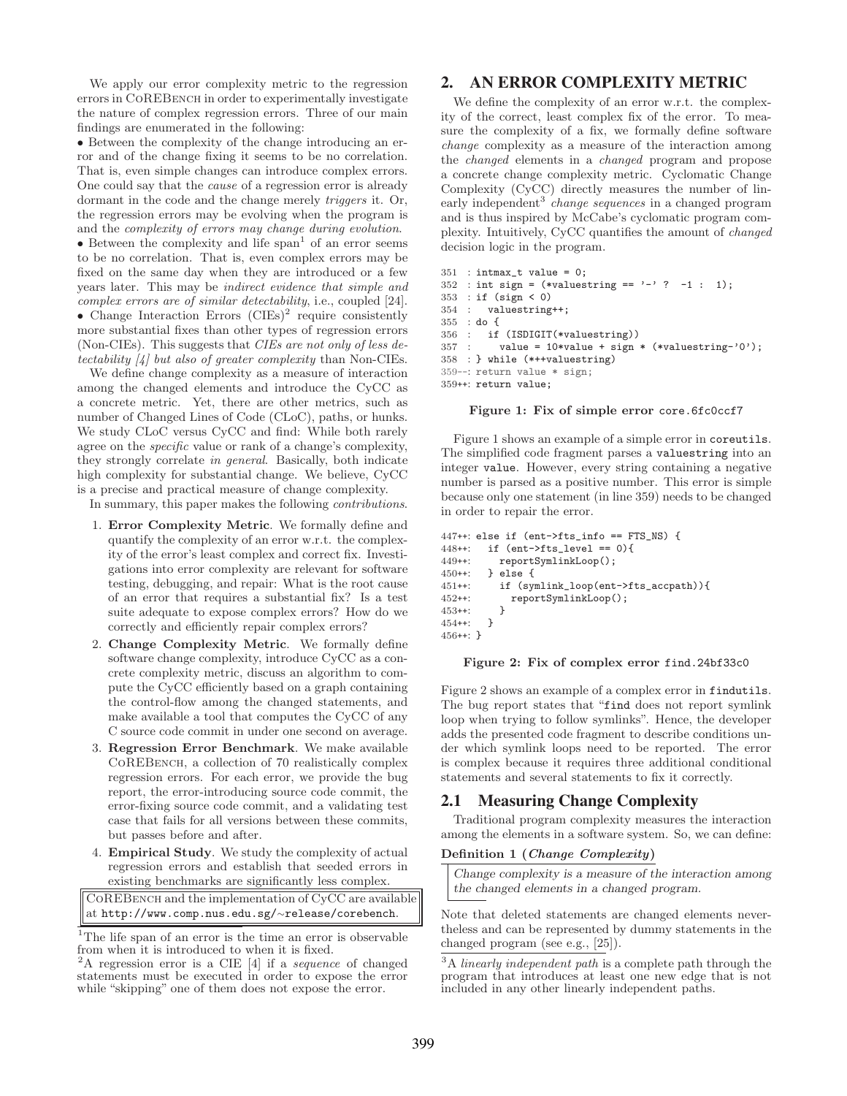We apply our error complexity metric to the regression errors in COREBENCH in order to experimentally investigate the nature of complex regression errors. Three of our main findings are enumerated in the following:

• Between the complexity of the change introducing an error and of the change fixing it seems to be no correlation. That is, even simple changes can introduce complex errors. One could say that the cause of a regression error is already dormant in the code and the change merely triggers it. Or, the regression errors may be evolving when the program is and the complexity of errors may change during evolution.

 $\bullet$  Between the complexity and life span<sup>1</sup> of an error seems to be no correlation. That is, even complex errors may be fixed on the same day when they are introduced or a few years later. This may be indirect evidence that simple and complex errors are of similar detectability, i.e., coupled [24].  $\bullet$  Change Interaction Errors (CIEs)<sup>2</sup> require consistently more substantial fixes than other types of regression errors (Non-CIEs). This suggests that CIEs are not only of less de-

tectability  $\left[4\right]$  but also of greater complexity than Non-CIEs. We define change complexity as a measure of interaction among the changed elements and introduce the CyCC as a concrete metric. Yet, there are other metrics, such as number of Changed Lines of Code (CLoC), paths, or hunks. We study CLoC versus CyCC and find: While both rarely agree on the specific value or rank of a change's complexity, they strongly correlate in general. Basically, both indicate high complexity for substantial change. We believe, CyCC is a precise and practical measure of change complexity.

In summary, this paper makes the following contributions.

- 1. Error Complexity Metric. We formally define and quantify the complexity of an error w.r.t. the complexity of the error's least complex and correct fix. Investigations into error complexity are relevant for software testing, debugging, and repair: What is the root cause of an error that requires a substantial fix? Is a test suite adequate to expose complex errors? How do we correctly and efficiently repair complex errors?
- 2. Change Complexity Metric. We formally define software change complexity, introduce CyCC as a concrete complexity metric, discuss an algorithm to compute the CyCC efficiently based on a graph containing the control-flow among the changed statements, and make available a tool that computes the CyCC of any C source code commit in under one second on average.
- 3. Regression Error Benchmark. We make available CoREBench, a collection of 70 realistically complex regression errors. For each error, we provide the bug report, the error-introducing source code commit, the error-fixing source code commit, and a validating test case that fails for all versions between these commits, but passes before and after.
- 4. Empirical Study. We study the complexity of actual regression errors and establish that seeded errors in existing benchmarks are significantly less complex.

CoREBench and the implementation of CyCC are available at http://www.comp.nus.edu.sg/∼release/corebench.

<sup>1</sup>The life span of an error is the time an error is observable from when it is introduced to when it is fixed.

# 2. AN ERROR COMPLEXITY METRIC

We define the complexity of an error w.r.t. the complexity of the correct, least complex fix of the error. To measure the complexity of a fix, we formally define software change complexity as a measure of the interaction among the changed elements in a changed program and propose a concrete change complexity metric. Cyclomatic Change Complexity (CyCC) directly measures the number of linearly independent<sup>3</sup> change sequences in a changed program and is thus inspired by McCabe's cyclomatic program complexity. Intuitively, CyCC quantifies the amount of changed decision logic in the program.

```
351 : intmax_t value = 0;
352 : int sign = (*valuesuring == '-' ? -1 : 1);353 : if (sign < 0)<br>354 : valuestring
       valuestring++;
355 : do {
356 : if (ISDIGIT(*valuestring))
357 : value = 10*value + sign * (*valuesuring-'0');358 : } while (*++valuestring)
359--: return value * sign;
359++: return value;
```
#### Figure 1: Fix of simple error core.6fc0ccf7

Figure 1 shows an example of a simple error in coreutils. The simplified code fragment parses a valuestring into an integer value. However, every string containing a negative number is parsed as a positive number. This error is simple because only one statement (in line 359) needs to be changed in order to repair the error.

```
447++: else if (ent->fts_info == FTS_NS) {
448++: if (ent->fts\_level == 0)449++: reportSymlinkLoop();
450++: } else {
451++: if (symlink_loop(ent->fts_accpath)){
452++: reportSymlinkLoop();
453++:
454++: }
456++: }
```
#### Figure 2: Fix of complex error find.24bf33c0

Figure 2 shows an example of a complex error in findutils. The bug report states that "find does not report symlink loop when trying to follow symlinks". Hence, the developer adds the presented code fragment to describe conditions under which symlink loops need to be reported. The error is complex because it requires three additional conditional statements and several statements to fix it correctly.

# 2.1 Measuring Change Complexity

Traditional program complexity measures the interaction among the elements in a software system. So, we can define:

#### Definition 1 (Change Complexity)

Change complexity is a measure of the interaction among the changed elements in a changed program.

Note that deleted statements are changed elements nevertheless and can be represented by dummy statements in the changed program (see e.g., [25]).

 $2A$  regression error is a CIE [4] if a sequence of changed statements must be executed in order to expose the error while "skipping" one of them does not expose the error.

 $^3\mbox{\bf A}$  linearly independent path is a complete path through the program that introduces at least one new edge that is not included in any other linearly independent paths.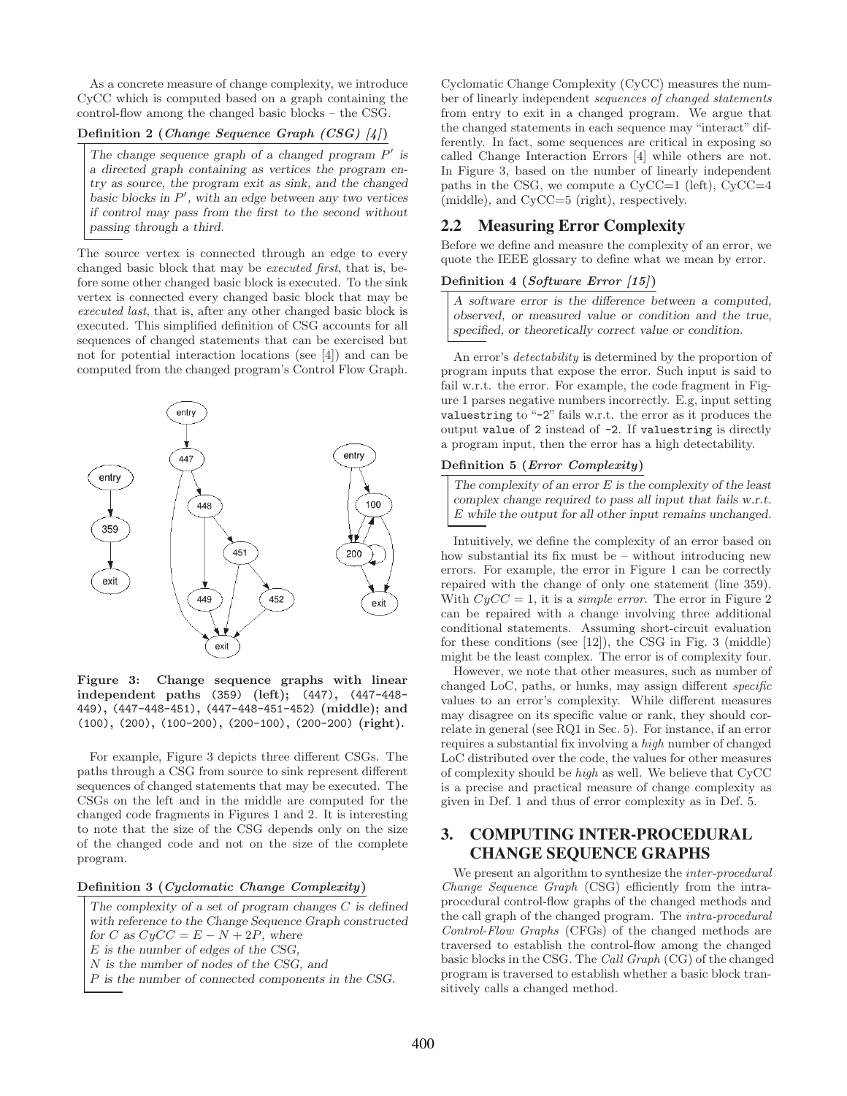As a concrete measure of change complexity, we introduce CyCC which is computed based on a graph containing the control-flow among the changed basic blocks – the CSG.

# Definition 2 (Change Sequence Graph (CSG) [4])

The change sequence graph of a changed program  $P'$  is a directed graph containing as vertices the program entry as source, the program exit as sink, and the changed basic blocks in  $P'$ , with an edge between any two vertices if control may pass from the first to the second without passing through a third.

The source vertex is connected through an edge to every changed basic block that may be executed first, that is, before some other changed basic block is executed. To the sink vertex is connected every changed basic block that may be executed last, that is, after any other changed basic block is executed. This simplified definition of CSG accounts for all sequences of changed statements that can be exercised but not for potential interaction locations (see [4]) and can be computed from the changed program's Control Flow Graph.



Figure 3: Change sequence graphs with linear independent paths (359) (left); (447), (447-448- 449), (447-448-451), (447-448-451-452) (middle); and (100), (200), (100-200), (200-100), (200-200) (right).

For example, Figure 3 depicts three different CSGs. The paths through a CSG from source to sink represent different sequences of changed statements that may be executed. The CSGs on the left and in the middle are computed for the changed code fragments in Figures 1 and 2. It is interesting to note that the size of the CSG depends only on the size of the changed code and not on the size of the complete program.

#### Definition 3 (Cyclomatic Change Complexity)

The complexity of a set of program changes  $C$  is defined with reference to the Change Sequence Graph constructed for C as  $C\iota$ c $C = E - N + 2P$ , where  $E$  is the number of edges of the CSG, N is the number of nodes of the CSG, and P is the number of connected components in the CSG.

Cyclomatic Change Complexity (CyCC) measures the number of linearly independent sequences of changed statements from entry to exit in a changed program. We argue that the changed statements in each sequence may "interact" differently. In fact, some sequences are critical in exposing so called Change Interaction Errors [4] while others are not. In Figure 3, based on the number of linearly independent paths in the CSG, we compute a  $CyCC=1$  (left),  $CyCC=4$ (middle), and CyCC=5 (right), respectively.

# 2.2 Measuring Error Complexity

Before we define and measure the complexity of an error, we quote the IEEE glossary to define what we mean by error.

# Definition 4 (Software Error [15])

A software error is the difference between a computed, observed, or measured value or condition and the true, specified, or theoretically correct value or condition.

An error's detectability is determined by the proportion of program inputs that expose the error. Such input is said to fail w.r.t. the error. For example, the code fragment in Figure 1 parses negative numbers incorrectly. E.g, input setting valuestring to "-2" fails w.r.t. the error as it produces the output value of 2 instead of -2. If valuestring is directly a program input, then the error has a high detectability.

## Definition 5 (Error Complexity)

The complexity of an error  $E$  is the complexity of the least complex change required to pass all input that fails w.r.t. E while the output for all other input remains unchanged.

Intuitively, we define the complexity of an error based on how substantial its fix must be – without introducing new errors. For example, the error in Figure 1 can be correctly repaired with the change of only one statement (line 359). With  $CyCC = 1$ , it is a *simple error*. The error in Figure 2 can be repaired with a change involving three additional conditional statements. Assuming short-circuit evaluation for these conditions (see [12]), the CSG in Fig. 3 (middle) might be the least complex. The error is of complexity four.

However, we note that other measures, such as number of changed LoC, paths, or hunks, may assign different specific values to an error's complexity. While different measures may disagree on its specific value or rank, they should correlate in general (see RQ1 in Sec. 5). For instance, if an error requires a substantial fix involving a high number of changed LoC distributed over the code, the values for other measures of complexity should be high as well. We believe that CyCC is a precise and practical measure of change complexity as given in Def. 1 and thus of error complexity as in Def. 5.

# 3. COMPUTING INTER-PROCEDURAL CHANGE SEQUENCE GRAPHS

We present an algorithm to synthesize the *inter-procedural* Change Sequence Graph (CSG) efficiently from the intraprocedural control-flow graphs of the changed methods and the call graph of the changed program. The intra-procedural Control-Flow Graphs (CFGs) of the changed methods are traversed to establish the control-flow among the changed basic blocks in the CSG. The Call Graph (CG) of the changed program is traversed to establish whether a basic block transitively calls a changed method.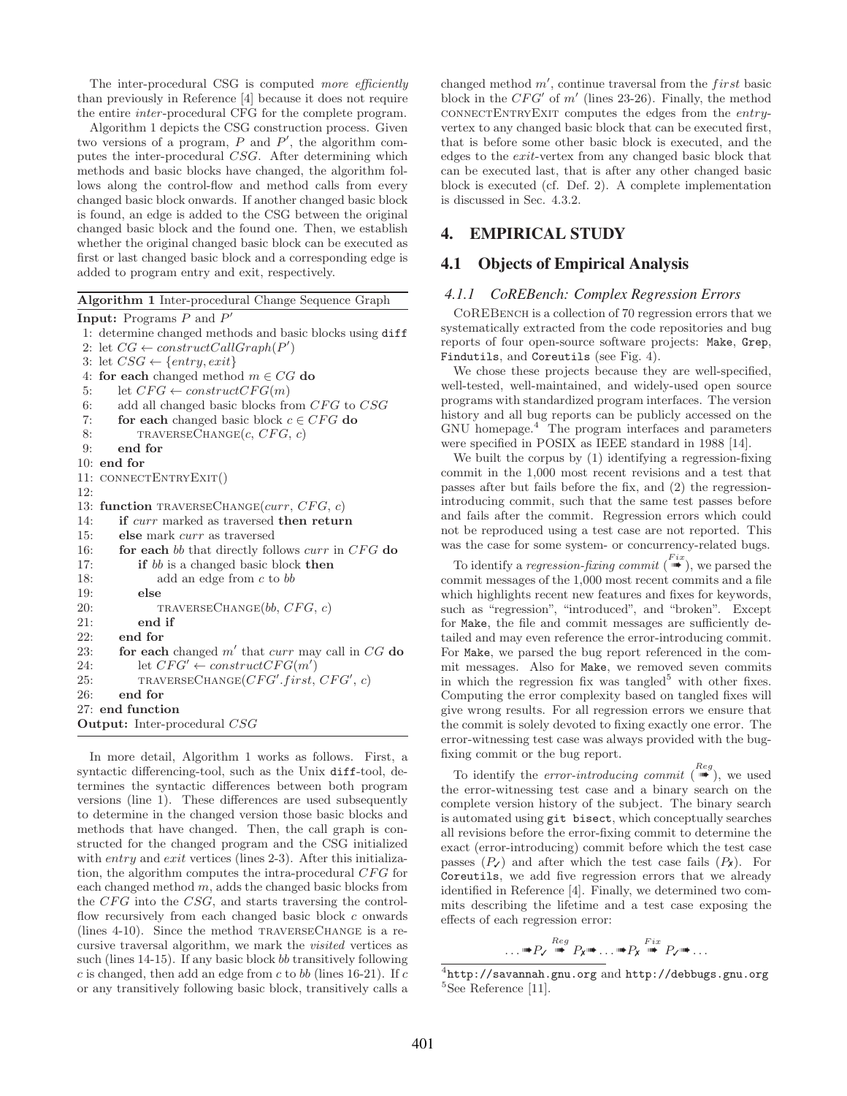The inter-procedural CSG is computed more efficiently than previously in Reference [4] because it does not require the entire inter-procedural CFG for the complete program.

Algorithm 1 depicts the CSG construction process. Given two versions of a program,  $P$  and  $P'$ , the algorithm computes the inter-procedural CSG. After determining which methods and basic blocks have changed, the algorithm follows along the control-flow and method calls from every changed basic block onwards. If another changed basic block is found, an edge is added to the CSG between the original changed basic block and the found one. Then, we establish whether the original changed basic block can be executed as first or last changed basic block and a corresponding edge is added to program entry and exit, respectively.

Algorithm 1 Inter-procedural Change Sequence Graph Input: Programs P and P' 1: determine changed methods and basic blocks using diff 2: let  $CG \leftarrow constructCallGraph(P')$ 3: let  $CSG \leftarrow \{entry, exit\}$ 4: for each changed method  $m \in CG$  do 5: let  $CFG \leftarrow constructCFG(m)$ 6: add all changed basic blocks from  $CFG$  to  $CSG$ 7: for each changed basic block  $c \in CFG$  do 8: TRAVERSECHANGE $(c, CFG, c)$ 9: end for 10: end for 11: CONNECTENTRYEXIT() 12: 13: function TRAVERSECHANGE( $curr$ , CFG, c) 14: **if** curr marked as traversed **then return** 15: else mark curr as traversed 16: for each bb that directly follows curr in  $CFG$  do 17: **if** bb is a changed basic block **then** 18: add an edge from c to bb 19: else 20: TRAVERSECHANGE(bb,  $CFG, c$ ) 21: end if 22: end for 23: for each changed  $m'$  that *curr* may call in  $CG$  do 24: let  $CFG' \leftarrow constructCFG(m')$ 25: TRAVERSECHANGE $(CFG'.first, CFG', c)$ 26: end for 27: end function Output: Inter-procedural CSG In more detail, Algorithm 1 works as follows. First, a

syntactic differencing-tool, such as the Unix diff-tool, determines the syntactic differences between both program versions (line 1). These differences are used subsequently to determine in the changed version those basic blocks and methods that have changed. Then, the call graph is constructed for the changed program and the CSG initialized with *entry* and *exit* vertices (lines 2-3). After this initialization, the algorithm computes the intra-procedural  $CFG$  for each changed method  $m$ , adds the changed basic blocks from the  $CFG$  into the  $CSG$ , and starts traversing the controlflow recursively from each changed basic block c onwards (lines 4-10). Since the method traverseChange is a recursive traversal algorithm, we mark the visited vertices as such (lines 14-15). If any basic block bb transitively following c is changed, then add an edge from c to bb (lines 16-21). If  $c$ or any transitively following basic block, transitively calls a

changed method  $m'$ , continue traversal from the  $first$  basic block in the  $CFG'$  of m' (lines 23-26). Finally, the method  $CONFECTENTRYEXT$  computes the edges from the  $entry$ vertex to any changed basic block that can be executed first, that is before some other basic block is executed, and the edges to the exit-vertex from any changed basic block that can be executed last, that is after any other changed basic block is executed (cf. Def. 2). A complete implementation is discussed in Sec. 4.3.2.

# 4. EMPIRICAL STUDY

### 4.1 Objects of Empirical Analysis

#### *4.1.1 CoREBench: Complex Regression Errors*

CoREBench is a collection of 70 regression errors that we systematically extracted from the code repositories and bug reports of four open-source software projects: Make, Grep, Findutils, and Coreutils (see Fig. 4).

We chose these projects because they are well-specified, well-tested, well-maintained, and widely-used open source programs with standardized program interfaces. The version history and all bug reports can be publicly accessed on the GNU homepage.<sup>4</sup> The program interfaces and parameters were specified in POSIX as IEEE standard in 1988 [14].

We built the corpus by (1) identifying a regression-fixing commit in the 1,000 most recent revisions and a test that passes after but fails before the fix, and (2) the regressionintroducing commit, such that the same test passes before and fails after the commit. Regression errors which could not be reproduced using a test case are not reported. This was the case for some system- or concurrency-related bugs.

To identify a *regression-fixing commit* ( $\stackrel{Fix}{\bullet\bullet}$ ), we parsed the commit messages of the 1,000 most recent commits and a file which highlights recent new features and fixes for keywords, such as "regression", "introduced", and "broken". Except for Make, the file and commit messages are sufficiently detailed and may even reference the error-introducing commit. For Make, we parsed the bug report referenced in the commit messages. Also for Make, we removed seven commits in which the regression fix was tangled<sup>5</sup> with other fixes. Computing the error complexity based on tangled fixes will give wrong results. For all regression errors we ensure that the commit is solely devoted to fixing exactly one error. The error-witnessing test case was always provided with the bugfixing commit or the bug report.

To identify the *error-introducing commit*  $\begin{pmatrix} Re g \\ \downarrow \end{pmatrix}$ , we used the error-witnessing test case and a binary search on the complete version history of the subject. The binary search is automated using git bisect, which conceptually searches all revisions before the error-fixing commit to determine the exact (error-introducing) commit before which the test case passes  $(P_{\checkmark})$  and after which the test case fails  $(P_{\checkmark})$ . For Coreutils, we add five regression errors that we already identified in Reference [4]. Finally, we determined two commits describing the lifetime and a test case exposing the effects of each regression error:

$$
\cdots \xrightarrow{Reg} P_{\mathbf{y}} \xrightarrow{\text{min}} P_{\mathbf{x}} \cdots \xrightarrow{\text{min}} P_{\mathbf{x}} \xrightarrow{\text{min}} P_{\mathbf{y}} \cdots
$$

 $^4$ http://savannah.gnu.org and http://debbugs.gnu.org <sup>5</sup>See Reference [11].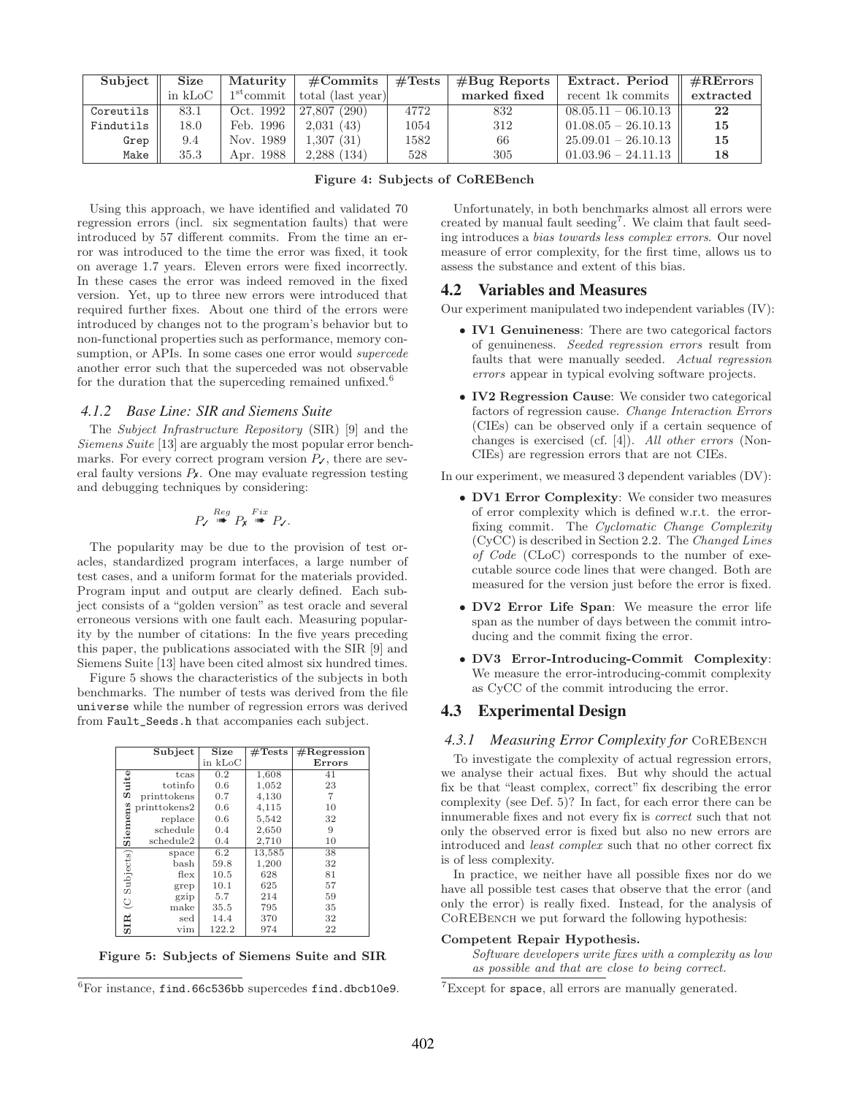| Subject $\parallel$ | Size    | Maturity  | $\#\mathrm{Commits} \perp \#\mathrm{Tests} \parallel$ |      | $\frac{1}{2}$ #Bug Reports $\frac{1}{2}$ | Extract. Period $\parallel \# {\rm R}$ Errors |          |
|---------------------|---------|-----------|-------------------------------------------------------|------|------------------------------------------|-----------------------------------------------|----------|
|                     | in kLoC |           | $1st$ commit   total (last year)                      |      | marked fixed                             | recent 1k commits                             | extrated |
| Coreutils           | 83.1    |           | Oct. 1992   27,807 (290)                              | 4772 | 832                                      | $08.05.11 - 06.10.13$                         | 22       |
| Findutils           | 18.0    | Feb. 1996 | 2,031(43)                                             | 1054 | 312                                      | $01.08.05 - 26.10.13$                         | 15       |
| Grep                | 9.4     | Nov. 1989 | 1,307(31)                                             | 1582 | 66                                       | $25.09.01 - 26.10.13$                         | 15       |
| Make                | 35.3    | Apr. 1988 | 2.288(134)                                            | 528  | 305                                      | $01.03.96 - 24.11.13$                         | 18       |

Figure 4: Subjects of CoREBench

Using this approach, we have identified and validated 70 regression errors (incl. six segmentation faults) that were introduced by 57 different commits. From the time an error was introduced to the time the error was fixed, it took on average 1.7 years. Eleven errors were fixed incorrectly. In these cases the error was indeed removed in the fixed version. Yet, up to three new errors were introduced that required further fixes. About one third of the errors were introduced by changes not to the program's behavior but to non-functional properties such as performance, memory consumption, or APIs. In some cases one error would *supercede* another error such that the superceded was not observable for the duration that the superceding remained unfixed.<sup>6</sup>

#### *4.1.2 Base Line: SIR and Siemens Suite*

The Subject Infrastructure Repository (SIR) [9] and the Siemens Suite [13] are arguably the most popular error benchmarks. For every correct program version  $P_{\ell}$ , there are several faulty versions  $P_{\lambda}$ . One may evaluate regression testing and debugging techniques by considering:

$$
P_{\mathcal{V}} \stackrel{Reg}{\longrightarrow} P_{\mathcal{X}} \stackrel{Fix}{\longrightarrow} P_{\mathcal{V}}.
$$

The popularity may be due to the provision of test oracles, standardized program interfaces, a large number of test cases, and a uniform format for the materials provided. Program input and output are clearly defined. Each subject consists of a "golden version" as test oracle and several erroneous versions with one fault each. Measuring popularity by the number of citations: In the five years preceding this paper, the publications associated with the SIR [9] and Siemens Suite [13] have been cited almost six hundred times.

Figure 5 shows the characteristics of the subjects in both benchmarks. The number of tests was derived from the file universe while the number of regression errors was derived from Fault\_Seeds.h that accompanies each subject.

|                | Subject      | <b>Size</b> | $\#\text{Tests}$ | $\#\mathrm{Regression}$ |  |
|----------------|--------------|-------------|------------------|-------------------------|--|
|                |              | in kLoC     |                  | <b>Errors</b>           |  |
| Suite          | tcas         | 0.2         | 1,608            | 41                      |  |
|                | totinfo      | 0.6         | 1,052            | 23                      |  |
|                | printtokens  | 0.7         | 4,130            | 7                       |  |
|                | printtokens2 | 0.6         | 4,115            | 10                      |  |
| Siemens        | replace      | 0.6         | 5,542            | 32                      |  |
|                | schedule     | 0.4         | 2,650            | 9                       |  |
|                | schedule2    | 0.4         | 2,710            | 10                      |  |
|                | space        | 6.2         | 13,585           | 38                      |  |
|                | bash         | 59.8        | 1,200            | 32                      |  |
|                | flex         | 10.5        | 628              | 81                      |  |
| Subjects)      | grep         | 10.1        | 625              | 57                      |  |
|                | gzip         | 5.7         | 214              | 59                      |  |
| $\overline{C}$ | make         | 35.5        | 795              | 35                      |  |
| <b>SIR</b>     | sed          | 14.4        | 370              | 32                      |  |
|                | vim          | 122.2       | 974              | 22                      |  |

Figure 5: Subjects of Siemens Suite and SIR

 ${}^{6}$ For instance, find.66c536bb supercedes find.dbcb10e9.

Unfortunately, in both benchmarks almost all errors were created by manual fault seeding<sup>7</sup>. We claim that fault seeding introduces a bias towards less complex errors. Our novel measure of error complexity, for the first time, allows us to assess the substance and extent of this bias.

# 4.2 Variables and Measures

Our experiment manipulated two independent variables (IV):

- IV1 Genuineness: There are two categorical factors of genuineness. Seeded regression errors result from faults that were manually seeded. Actual regression errors appear in typical evolving software projects.
- IV2 Regression Cause: We consider two categorical factors of regression cause. Change Interaction Errors (CIEs) can be observed only if a certain sequence of changes is exercised (cf. [4]). All other errors (Non-CIEs) are regression errors that are not CIEs.

In our experiment, we measured 3 dependent variables (DV):

- DV1 Error Complexity: We consider two measures of error complexity which is defined w.r.t. the errorfixing commit. The Cyclomatic Change Complexity (CyCC) is described in Section 2.2. The Changed Lines of Code (CLoC) corresponds to the number of executable source code lines that were changed. Both are measured for the version just before the error is fixed.
- DV2 Error Life Span: We measure the error life span as the number of days between the commit introducing and the commit fixing the error.
- DV3 Error-Introducing-Commit Complexity: We measure the error-introducing-commit complexity as CyCC of the commit introducing the error.

#### 4.3 Experimental Design

#### *4.3.1 Measuring Error Complexity for* CoREBench

To investigate the complexity of actual regression errors, we analyse their actual fixes. But why should the actual fix be that "least complex, correct" fix describing the error complexity (see Def. 5)? In fact, for each error there can be innumerable fixes and not every fix is correct such that not only the observed error is fixed but also no new errors are introduced and least complex such that no other correct fix is of less complexity.

In practice, we neither have all possible fixes nor do we have all possible test cases that observe that the error (and only the error) is really fixed. Instead, for the analysis of CoREBench we put forward the following hypothesis:

#### Competent Repair Hypothesis.

Software developers write fixes with a complexity as low as possible and that are close to being correct.

<sup>7</sup>Except for space, all errors are manually generated.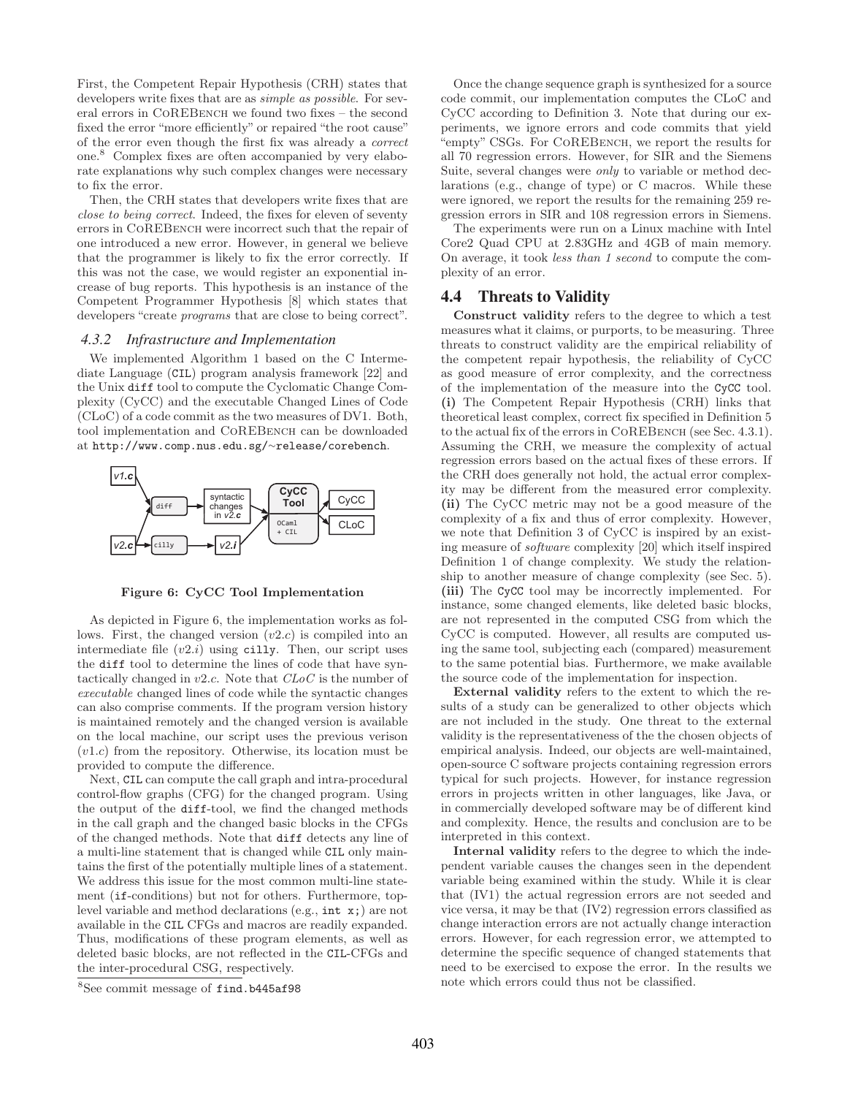First, the Competent Repair Hypothesis (CRH) states that developers write fixes that are as *simple as possible*. For several errors in CoREBench we found two fixes – the second fixed the error "more efficiently" or repaired "the root cause" of the error even though the first fix was already a correct one.<sup>8</sup> Complex fixes are often accompanied by very elaborate explanations why such complex changes were necessary to fix the error.

Then, the CRH states that developers write fixes that are close to being correct. Indeed, the fixes for eleven of seventy errors in CoREBench were incorrect such that the repair of one introduced a new error. However, in general we believe that the programmer is likely to fix the error correctly. If this was not the case, we would register an exponential increase of bug reports. This hypothesis is an instance of the Competent Programmer Hypothesis [8] which states that developers "create programs that are close to being correct".

#### *4.3.2 Infrastructure and Implementation*

We implemented Algorithm 1 based on the C Intermediate Language (CIL) program analysis framework [22] and the Unix diff tool to compute the Cyclomatic Change Complexity (CyCC) and the executable Changed Lines of Code (CLoC) of a code commit as the two measures of DV1. Both, tool implementation and COREBENCH can be downloaded at http://www.comp.nus.edu.sg/∼release/corebench.



Figure 6: CyCC Tool Implementation

As depicted in Figure 6, the implementation works as follows. First, the changed version  $(v2.c)$  is compiled into an intermediate file  $(v2.i)$  using cilly. Then, our script uses the diff tool to determine the lines of code that have syntactically changed in  $v2.c$ . Note that  $CLoC$  is the number of executable changed lines of code while the syntactic changes can also comprise comments. If the program version history is maintained remotely and the changed version is available on the local machine, our script uses the previous verison  $(v1.c)$  from the repository. Otherwise, its location must be provided to compute the difference.

Next, CIL can compute the call graph and intra-procedural control-flow graphs (CFG) for the changed program. Using the output of the diff-tool, we find the changed methods in the call graph and the changed basic blocks in the CFGs of the changed methods. Note that diff detects any line of a multi-line statement that is changed while CIL only maintains the first of the potentially multiple lines of a statement. We address this issue for the most common multi-line statement (if-conditions) but not for others. Furthermore, toplevel variable and method declarations (e.g., int x;) are not available in the CIL CFGs and macros are readily expanded. Thus, modifications of these program elements, as well as deleted basic blocks, are not reflected in the CIL-CFGs and the inter-procedural CSG, respectively.

Once the change sequence graph is synthesized for a source code commit, our implementation computes the CLoC and CyCC according to Definition 3. Note that during our experiments, we ignore errors and code commits that yield "empty" CSGs. For CoREBench, we report the results for all 70 regression errors. However, for SIR and the Siemens Suite, several changes were only to variable or method declarations (e.g., change of type) or C macros. While these were ignored, we report the results for the remaining 259 regression errors in SIR and 108 regression errors in Siemens.

The experiments were run on a Linux machine with Intel Core2 Quad CPU at 2.83GHz and 4GB of main memory. On average, it took less than 1 second to compute the complexity of an error.

# 4.4 Threats to Validity

Construct validity refers to the degree to which a test measures what it claims, or purports, to be measuring. Three threats to construct validity are the empirical reliability of the competent repair hypothesis, the reliability of CyCC as good measure of error complexity, and the correctness of the implementation of the measure into the CyCC tool. (i) The Competent Repair Hypothesis (CRH) links that theoretical least complex, correct fix specified in Definition 5 to the actual fix of the errors in COREBENCH (see Sec. 4.3.1). Assuming the CRH, we measure the complexity of actual regression errors based on the actual fixes of these errors. If the CRH does generally not hold, the actual error complexity may be different from the measured error complexity. (ii) The CyCC metric may not be a good measure of the complexity of a fix and thus of error complexity. However, we note that Definition 3 of CyCC is inspired by an existing measure of software complexity [20] which itself inspired Definition 1 of change complexity. We study the relationship to another measure of change complexity (see Sec. 5). (iii) The CyCC tool may be incorrectly implemented. For instance, some changed elements, like deleted basic blocks, are not represented in the computed CSG from which the CyCC is computed. However, all results are computed using the same tool, subjecting each (compared) measurement to the same potential bias. Furthermore, we make available the source code of the implementation for inspection.

External validity refers to the extent to which the results of a study can be generalized to other objects which are not included in the study. One threat to the external validity is the representativeness of the the chosen objects of empirical analysis. Indeed, our objects are well-maintained, open-source C software projects containing regression errors typical for such projects. However, for instance regression errors in projects written in other languages, like Java, or in commercially developed software may be of different kind and complexity. Hence, the results and conclusion are to be interpreted in this context.

Internal validity refers to the degree to which the independent variable causes the changes seen in the dependent variable being examined within the study. While it is clear that (IV1) the actual regression errors are not seeded and vice versa, it may be that (IV2) regression errors classified as change interaction errors are not actually change interaction errors. However, for each regression error, we attempted to determine the specific sequence of changed statements that need to be exercised to expose the error. In the results we note which errors could thus not be classified.

<sup>8</sup>See commit message of find.b445af98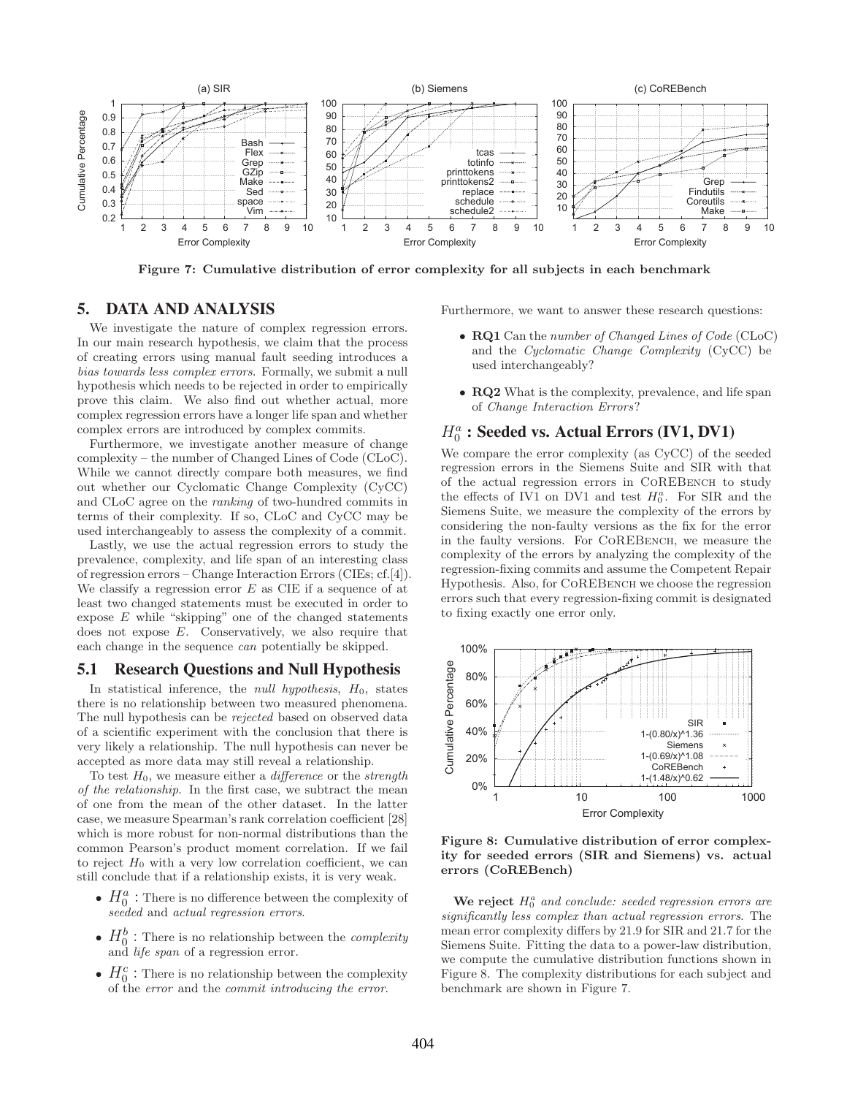

Figure 7: Cumulative distribution of error complexity for all subjects in each benchmark

# 5. DATA AND ANALYSIS

We investigate the nature of complex regression errors. In our main research hypothesis, we claim that the process of creating errors using manual fault seeding introduces a bias towards less complex errors. Formally, we submit a null hypothesis which needs to be rejected in order to empirically prove this claim. We also find out whether actual, more complex regression errors have a longer life span and whether complex errors are introduced by complex commits.

Furthermore, we investigate another measure of change complexity – the number of Changed Lines of Code (CLoC). While we cannot directly compare both measures, we find out whether our Cyclomatic Change Complexity (CyCC) and CLoC agree on the ranking of two-hundred commits in terms of their complexity. If so, CLoC and CyCC may be used interchangeably to assess the complexity of a commit.

Lastly, we use the actual regression errors to study the prevalence, complexity, and life span of an interesting class of regression errors – Change Interaction Errors (CIEs; cf.[4]). We classify a regression error  $E$  as CIE if a sequence of at least two changed statements must be executed in order to expose  $E$  while "skipping" one of the changed statements does not expose E. Conservatively, we also require that each change in the sequence can potentially be skipped.

# 5.1 Research Questions and Null Hypothesis

In statistical inference, the *null hypothesis*,  $H_0$ , states there is no relationship between two measured phenomena. The null hypothesis can be rejected based on observed data of a scientific experiment with the conclusion that there is very likely a relationship. The null hypothesis can never be accepted as more data may still reveal a relationship.

To test  $H_0$ , we measure either a *difference* or the *strength* of the relationship. In the first case, we subtract the mean of one from the mean of the other dataset. In the latter case, we measure Spearman's rank correlation coefficient [28] which is more robust for non-normal distributions than the common Pearson's product moment correlation. If we fail to reject  $H_0$  with a very low correlation coefficient, we can still conclude that if a relationship exists, it is very weak.

- $H_0^a$ : There is no difference between the complexity of seeded and actual regression errors.
- $H_0^b$ : There is no relationship between the *complexity* and life span of a regression error.
- $H_0^c$ : There is no relationship between the complexity of the error and the commit introducing the error.

Furthermore, we want to answer these research questions:

- RQ1 Can the number of Changed Lines of Code (CLoC) and the Cyclomatic Change Complexity (CyCC) be used interchangeably?
- RQ2 What is the complexity, prevalence, and life span of Change Interaction Errors?

# $H_0^a$ : Seeded vs. Actual Errors (IV1, DV1)

We compare the error complexity (as CyCC) of the seeded regression errors in the Siemens Suite and SIR with that of the actual regression errors in CoREBench to study the effects of IV1 on DV1 and test  $H_0^a$ . For SIR and the Siemens Suite, we measure the complexity of the errors by considering the non-faulty versions as the fix for the error in the faulty versions. For CoREBench, we measure the complexity of the errors by analyzing the complexity of the regression-fixing commits and assume the Competent Repair Hypothesis. Also, for CoREBench we choose the regression errors such that every regression-fixing commit is designated to fixing exactly one error only.



Figure 8: Cumulative distribution of error complexity for seeded errors (SIR and Siemens) vs. actual errors (CoREBench)

We reject  $H_0^a$  and conclude: seeded regression errors are significantly less complex than actual regression errors. The mean error complexity differs by 21.9 for SIR and 21.7 for the Siemens Suite. Fitting the data to a power-law distribution, we compute the cumulative distribution functions shown in Figure 8. The complexity distributions for each subject and benchmark are shown in Figure 7.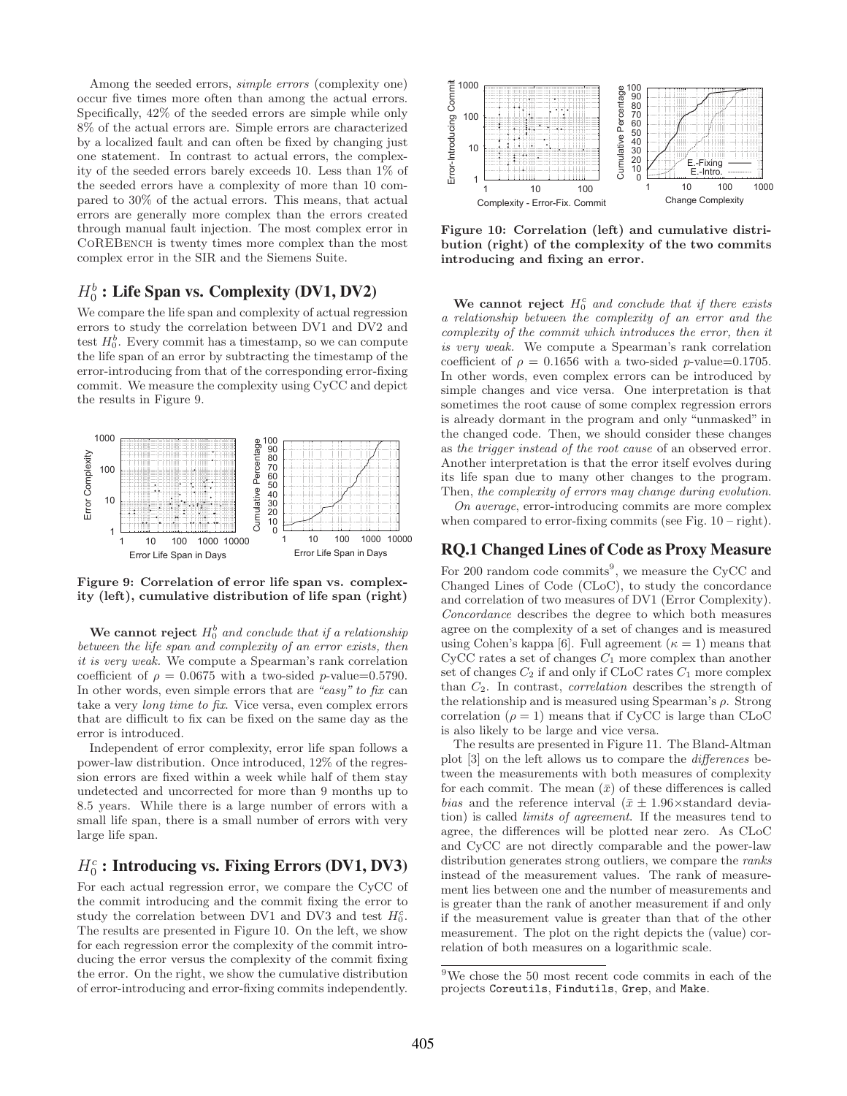Among the seeded errors, simple errors (complexity one) occur five times more often than among the actual errors. Specifically, 42% of the seeded errors are simple while only 8% of the actual errors are. Simple errors are characterized by a localized fault and can often be fixed by changing just one statement. In contrast to actual errors, the complexity of the seeded errors barely exceeds 10. Less than 1% of the seeded errors have a complexity of more than 10 compared to 30% of the actual errors. This means, that actual errors are generally more complex than the errors created through manual fault injection. The most complex error in CoREBench is twenty times more complex than the most complex error in the SIR and the Siemens Suite.

# $H_0^b$ : Life Span vs. Complexity (DV1, DV2)

We compare the life span and complexity of actual regression errors to study the correlation between DV1 and DV2 and test  $H_0^b$ . Every commit has a timestamp, so we can compute the life span of an error by subtracting the timestamp of the error-introducing from that of the corresponding error-fixing commit. We measure the complexity using CyCC and depict the results in Figure 9.



Figure 9: Correlation of error life span vs. complexity (left), cumulative distribution of life span (right)

We cannot reject  $H_0^b$  and conclude that if a relationship between the life span and complexity of an error exists, then it is very weak. We compute a Spearman's rank correlation coefficient of  $\rho = 0.0675$  with a two-sided p-value=0.5790. In other words, even simple errors that are "easy" to fix can take a very long time to fix. Vice versa, even complex errors that are difficult to fix can be fixed on the same day as the error is introduced.

Independent of error complexity, error life span follows a power-law distribution. Once introduced, 12% of the regression errors are fixed within a week while half of them stay undetected and uncorrected for more than 9 months up to 8.5 years. While there is a large number of errors with a small life span, there is a small number of errors with very large life span.

# $H_0^c$ : Introducing vs. Fixing Errors (DV1, DV3)

For each actual regression error, we compare the CyCC of the commit introducing and the commit fixing the error to study the correlation between DV1 and DV3 and test  $H_0^c$ . The results are presented in Figure 10. On the left, we show for each regression error the complexity of the commit introducing the error versus the complexity of the commit fixing the error. On the right, we show the cumulative distribution of error-introducing and error-fixing commits independently.



Figure 10: Correlation (left) and cumulative distribution (right) of the complexity of the two commits introducing and fixing an error.

We cannot reject  $H_0^c$  and conclude that if there exists a relationship between the complexity of an error and the complexity of the commit which introduces the error, then it is very weak. We compute a Spearman's rank correlation coefficient of  $\rho = 0.1656$  with a two-sided p-value=0.1705. In other words, even complex errors can be introduced by simple changes and vice versa. One interpretation is that sometimes the root cause of some complex regression errors is already dormant in the program and only "unmasked" in the changed code. Then, we should consider these changes as the trigger instead of the root cause of an observed error. Another interpretation is that the error itself evolves during its life span due to many other changes to the program. Then, the complexity of errors may change during evolution.

On average, error-introducing commits are more complex when compared to error-fixing commits (see Fig.  $10 - right$ ).

# RQ.1 Changed Lines of Code as Proxy Measure

For 200 random code commits<sup>9</sup>, we measure the CyCC and Changed Lines of Code (CLoC), to study the concordance and correlation of two measures of DV1 (Error Complexity). Concordance describes the degree to which both measures agree on the complexity of a set of changes and is measured using Cohen's kappa [6]. Full agreement  $(\kappa = 1)$  means that  $CyCC$  rates a set of changes  $C_1$  more complex than another set of changes  $C_2$  if and only if CLoC rates  $C_1$  more complex than  $C_2$ . In contrast, *correlation* describes the strength of the relationship and is measured using Spearman's  $\rho$ . Strong correlation ( $\rho = 1$ ) means that if CyCC is large than CLoC is also likely to be large and vice versa.

The results are presented in Figure 11. The Bland-Altman plot [3] on the left allows us to compare the differences between the measurements with both measures of complexity for each commit. The mean  $(\bar{x})$  of these differences is called bias and the reference interval ( $\bar{x} \pm 1.96 \times$ standard deviation) is called limits of agreement. If the measures tend to agree, the differences will be plotted near zero. As CLoC and CyCC are not directly comparable and the power-law distribution generates strong outliers, we compare the *ranks* instead of the measurement values. The rank of measurement lies between one and the number of measurements and is greater than the rank of another measurement if and only if the measurement value is greater than that of the other measurement. The plot on the right depicts the (value) correlation of both measures on a logarithmic scale.

 $9\mathrm{We}$  chose the 50 most recent code commits in each of the projects Coreutils, Findutils, Grep, and Make.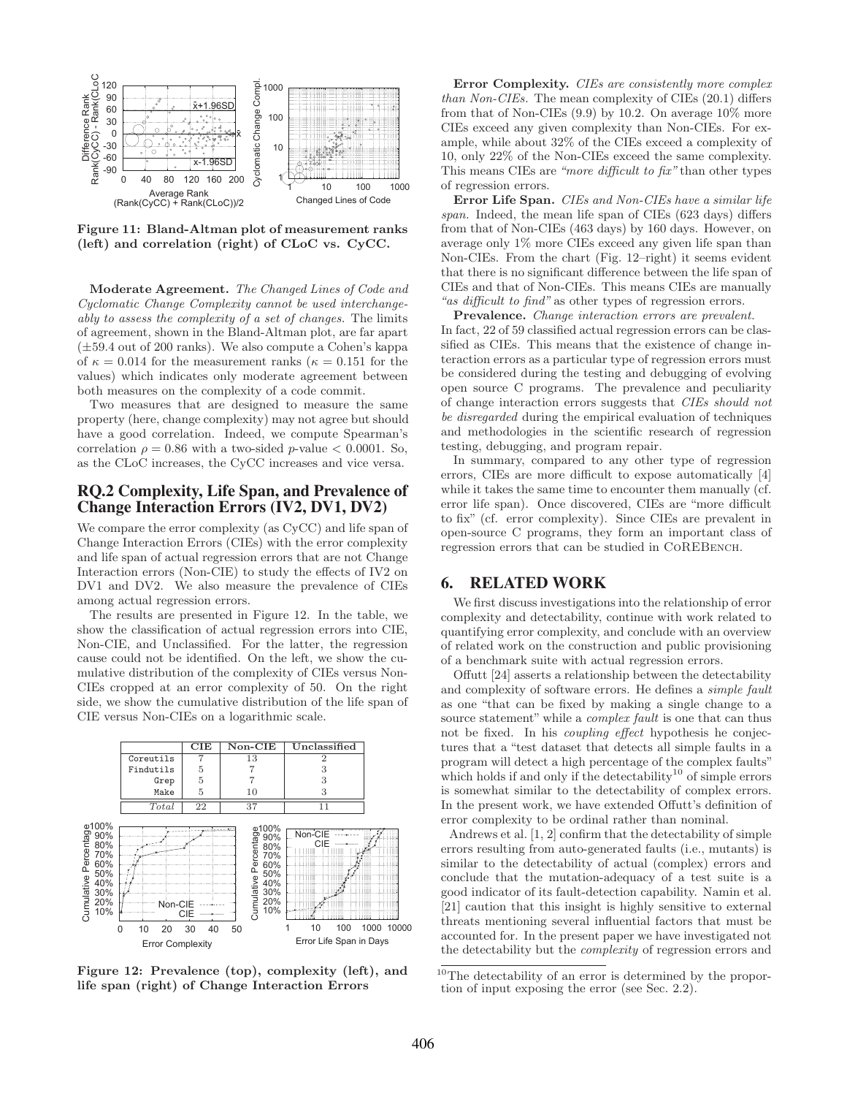

Figure 11: Bland-Altman plot of measurement ranks (left) and correlation (right) of CLoC vs. CyCC.

Moderate Agreement. The Changed Lines of Code and Cyclomatic Change Complexity cannot be used interchangeably to assess the complexity of a set of changes. The limits of agreement, shown in the Bland-Altman plot, are far apart (±59.4 out of 200 ranks). We also compute a Cohen's kappa of  $\kappa = 0.014$  for the measurement ranks ( $\kappa = 0.151$  for the values) which indicates only moderate agreement between both measures on the complexity of a code commit.

Two measures that are designed to measure the same property (here, change complexity) may not agree but should have a good correlation. Indeed, we compute Spearman's correlation  $\rho = 0.86$  with a two-sided p-value  $< 0.0001$ . So, as the CLoC increases, the CyCC increases and vice versa.

# RQ.2 Complexity, Life Span, and Prevalence of Change Interaction Errors (IV2, DV1, DV2)

We compare the error complexity (as CyCC) and life span of Change Interaction Errors (CIEs) with the error complexity and life span of actual regression errors that are not Change Interaction errors (Non-CIE) to study the effects of IV2 on DV1 and DV2. We also measure the prevalence of CIEs among actual regression errors.

The results are presented in Figure 12. In the table, we show the classification of actual regression errors into CIE, Non-CIE, and Unclassified. For the latter, the regression cause could not be identified. On the left, we show the cumulative distribution of the complexity of CIEs versus Non-CIEs cropped at an error complexity of 50. On the right side, we show the cumulative distribution of the life span of CIE versus Non-CIEs on a logarithmic scale.



Figure 12: Prevalence (top), complexity (left), and life span (right) of Change Interaction Errors

Error Complexity. CIEs are consistently more complex than Non-CIEs. The mean complexity of CIEs (20.1) differs from that of Non-CIEs  $(9.9)$  by 10.2. On average  $10\%$  more CIEs exceed any given complexity than Non-CIEs. For example, while about 32% of the CIEs exceed a complexity of 10, only 22% of the Non-CIEs exceed the same complexity. This means CIEs are "more difficult to fix" than other types of regression errors.

Error Life Span. CIEs and Non-CIEs have a similar life span. Indeed, the mean life span of CIEs (623 days) differs from that of Non-CIEs (463 days) by 160 days. However, on average only 1% more CIEs exceed any given life span than Non-CIEs. From the chart (Fig. 12–right) it seems evident that there is no significant difference between the life span of CIEs and that of Non-CIEs. This means CIEs are manually "as difficult to find" as other types of regression errors.

Prevalence. Change interaction errors are prevalent. In fact, 22 of 59 classified actual regression errors can be classified as CIEs. This means that the existence of change interaction errors as a particular type of regression errors must be considered during the testing and debugging of evolving open source C programs. The prevalence and peculiarity of change interaction errors suggests that CIEs should not be disregarded during the empirical evaluation of techniques and methodologies in the scientific research of regression testing, debugging, and program repair.

In summary, compared to any other type of regression errors, CIEs are more difficult to expose automatically [4] while it takes the same time to encounter them manually (cf. error life span). Once discovered, CIEs are "more difficult to fix" (cf. error complexity). Since CIEs are prevalent in open-source C programs, they form an important class of regression errors that can be studied in CoREBench.

### 6. RELATED WORK

We first discuss investigations into the relationship of error complexity and detectability, continue with work related to quantifying error complexity, and conclude with an overview of related work on the construction and public provisioning of a benchmark suite with actual regression errors.

Offutt [24] asserts a relationship between the detectability and complexity of software errors. He defines a simple fault as one "that can be fixed by making a single change to a source statement" while a *complex fault* is one that can thus not be fixed. In his *coupling effect* hypothesis he conjectures that a "test dataset that detects all simple faults in a program will detect a high percentage of the complex faults" which holds if and only if the detectability<sup>10</sup> of simple errors is somewhat similar to the detectability of complex errors. In the present work, we have extended Offutt's definition of error complexity to be ordinal rather than nominal.

Andrews et al. [1, 2] confirm that the detectability of simple errors resulting from auto-generated faults (i.e., mutants) is similar to the detectability of actual (complex) errors and conclude that the mutation-adequacy of a test suite is a good indicator of its fault-detection capability. Namin et al. [21] caution that this insight is highly sensitive to external threats mentioning several influential factors that must be accounted for. In the present paper we have investigated not the detectability but the complexity of regression errors and

 $10$ The detectability of an error is determined by the proportion of input exposing the error (see Sec. 2.2).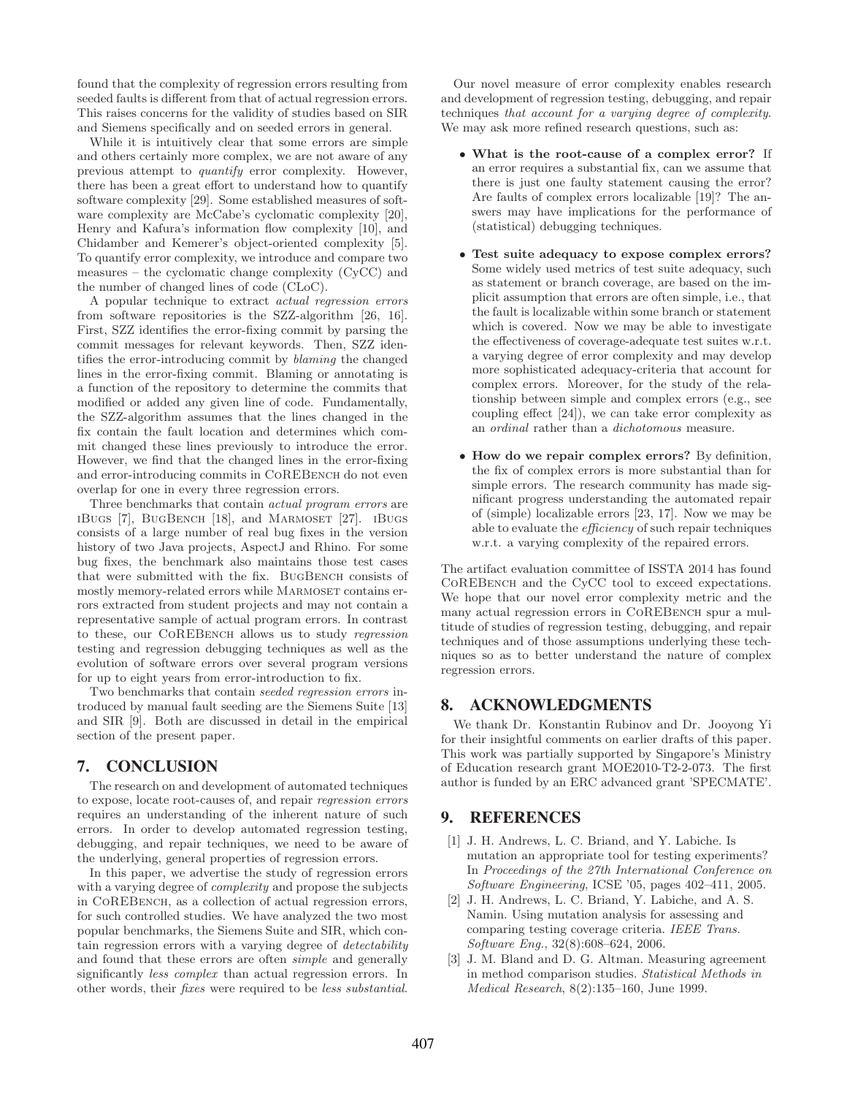found that the complexity of regression errors resulting from seeded faults is different from that of actual regression errors. This raises concerns for the validity of studies based on SIR and Siemens specifically and on seeded errors in general.

While it is intuitively clear that some errors are simple and others certainly more complex, we are not aware of any previous attempt to quantify error complexity. However, there has been a great effort to understand how to quantify software complexity [29]. Some established measures of software complexity are McCabe's cyclomatic complexity [20], Henry and Kafura's information flow complexity [10], and Chidamber and Kemerer's object-oriented complexity [5]. To quantify error complexity, we introduce and compare two measures – the cyclomatic change complexity (CyCC) and the number of changed lines of code (CLoC).

A popular technique to extract actual regression errors from software repositories is the SZZ-algorithm [26, 16]. First, SZZ identifies the error-fixing commit by parsing the commit messages for relevant keywords. Then, SZZ identifies the error-introducing commit by blaming the changed lines in the error-fixing commit. Blaming or annotating is a function of the repository to determine the commits that modified or added any given line of code. Fundamentally, the SZZ-algorithm assumes that the lines changed in the fix contain the fault location and determines which commit changed these lines previously to introduce the error. However, we find that the changed lines in the error-fixing and error-introducing commits in CoREBench do not even overlap for one in every three regression errors.

Three benchmarks that contain *actual program errors* are iBugs [7], BugBench [18], and Marmoset [27]. iBugs consists of a large number of real bug fixes in the version history of two Java projects, AspectJ and Rhino. For some bug fixes, the benchmark also maintains those test cases that were submitted with the fix. BUGBENCH consists of mostly memory-related errors while MARMOSET contains errors extracted from student projects and may not contain a representative sample of actual program errors. In contrast to these, our COREBENCH allows us to study regression testing and regression debugging techniques as well as the evolution of software errors over several program versions for up to eight years from error-introduction to fix.

Two benchmarks that contain seeded regression errors introduced by manual fault seeding are the Siemens Suite [13] and SIR [9]. Both are discussed in detail in the empirical section of the present paper.

# 7. CONCLUSION

The research on and development of automated techniques to expose, locate root-causes of, and repair regression errors requires an understanding of the inherent nature of such errors. In order to develop automated regression testing, debugging, and repair techniques, we need to be aware of the underlying, general properties of regression errors.

In this paper, we advertise the study of regression errors with a varying degree of *complexity* and propose the subjects in CoREBench, as a collection of actual regression errors, for such controlled studies. We have analyzed the two most popular benchmarks, the Siemens Suite and SIR, which contain regression errors with a varying degree of detectability and found that these errors are often simple and generally significantly *less complex* than actual regression errors. In other words, their fixes were required to be less substantial.

Our novel measure of error complexity enables research and development of regression testing, debugging, and repair techniques that account for a varying degree of complexity. We may ask more refined research questions, such as:

- What is the root-cause of a complex error? If an error requires a substantial fix, can we assume that there is just one faulty statement causing the error? Are faults of complex errors localizable [19]? The answers may have implications for the performance of (statistical) debugging techniques.
- Test suite adequacy to expose complex errors? Some widely used metrics of test suite adequacy, such as statement or branch coverage, are based on the implicit assumption that errors are often simple, i.e., that the fault is localizable within some branch or statement which is covered. Now we may be able to investigate the effectiveness of coverage-adequate test suites w.r.t. a varying degree of error complexity and may develop more sophisticated adequacy-criteria that account for complex errors. Moreover, for the study of the relationship between simple and complex errors (e.g., see coupling effect [24]), we can take error complexity as an ordinal rather than a dichotomous measure.
- How do we repair complex errors? By definition, the fix of complex errors is more substantial than for simple errors. The research community has made significant progress understanding the automated repair of (simple) localizable errors [23, 17]. Now we may be able to evaluate the efficiency of such repair techniques w.r.t. a varying complexity of the repaired errors.

The artifact evaluation committee of ISSTA 2014 has found CoREBench and the CyCC tool to exceed expectations. We hope that our novel error complexity metric and the many actual regression errors in CoREBENCH spur a multitude of studies of regression testing, debugging, and repair techniques and of those assumptions underlying these techniques so as to better understand the nature of complex regression errors.

# 8. ACKNOWLEDGMENTS

We thank Dr. Konstantin Rubinov and Dr. Jooyong Yi for their insightful comments on earlier drafts of this paper. This work was partially supported by Singapore's Ministry of Education research grant MOE2010-T2-2-073. The first author is funded by an ERC advanced grant 'SPECMATE'.

# 9. REFERENCES

- [1] J. H. Andrews, L. C. Briand, and Y. Labiche. Is mutation an appropriate tool for testing experiments? In Proceedings of the 27th International Conference on Software Engineering, ICSE '05, pages 402–411, 2005.
- [2] J. H. Andrews, L. C. Briand, Y. Labiche, and A. S. Namin. Using mutation analysis for assessing and comparing testing coverage criteria. IEEE Trans. Software Eng., 32(8):608–624, 2006.
- [3] J. M. Bland and D. G. Altman. Measuring agreement in method comparison studies. Statistical Methods in Medical Research, 8(2):135–160, June 1999.